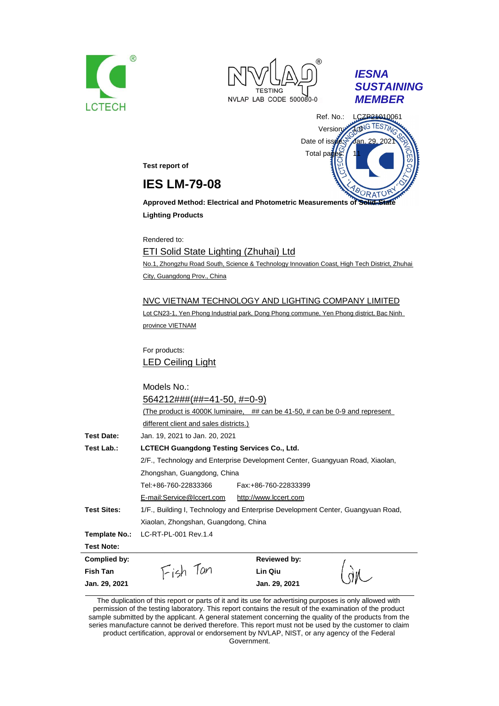





Ref. No.: LCZP24010061 Version: 1.0NG TEST Date of issue: Jan. 29 Total pa

**Test report of**

## **IES LM-79-08**

**Approved Method: Electrical and Photometric Measurements of Solid-Lighting Products**

Rendered to:

ETI Solid State Lighting (Zhuhai) Ltd No.1, Zhongzhu Road South, Science & Technology Innovation Coast, High Tech District, Zhuhai City, Guangdong Prov., China

#### NVC VIETNAM TECHNOLOGY AND LIGHTING COMPANY LIMITED

Lot CN23-1, Yen Phong Industrial park, Dong Phong commune, Yen Phong district, Bac Ninh province VIETNAM

For products: LED Ceiling Light

|                    | Models No.:                                                                     |
|--------------------|---------------------------------------------------------------------------------|
|                    | $564212\# \# \# (\# \# = 41-50, \# = 0-9)$                                      |
|                    | (The product is 4000K luminaire, ## can be 41-50, # can be 0-9 and represent    |
|                    | different client and sales districts.)                                          |
| <b>Test Date:</b>  | Jan. 19, 2021 to Jan. 20, 2021                                                  |
| Test Lab.:         | <b>LCTECH Guangdong Testing Services Co., Ltd.</b>                              |
|                    | 2/F., Technology and Enterprise Development Center, Guangyuan Road, Xiaolan,    |
|                    | Zhongshan, Guangdong, China                                                     |
|                    | Tel:+86-760-22833366<br>Fax:+86-760-22833399                                    |
|                    | E-mail:Service@lccert.com<br>http://www.lccert.com                              |
| <b>Test Sites:</b> | 1/F., Building I, Technology and Enterprise Development Center, Guangyuan Road, |
|                    | Xiaolan, Zhongshan, Guangdong, China                                            |
| Template No.:      | LC-RT-PL-001 Rev.1.4                                                            |
| <b>Test Note:</b>  |                                                                                 |
| Complied by:       | <b>Reviewed by:</b>                                                             |
| Fish Tan           | Lin Qiu                                                                         |
| Jan. 29, 2021      | Jan. 29, 2021                                                                   |

The duplication of this report or parts of it and its use for advertising purposes is only allowed with permission of the testing laboratory. This report contains the result of the examination of the product sample submitted by the applicant. A general statement concerning the quality of the products from the series manufacture cannot be derived therefore. This report must not be used by the customer to claim product certification, approval or endorsement by NVLAP, NIST, or any agency of the Federal Government.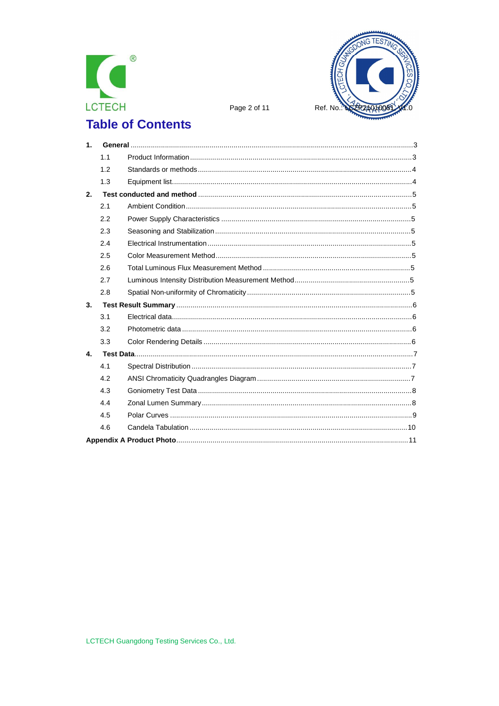



Page 2 of 11

# **Table of Contents**

| 1. |     |  |
|----|-----|--|
|    | 1.1 |  |
|    | 1.2 |  |
|    | 1.3 |  |
| 2. |     |  |
|    | 2.1 |  |
|    | 2.2 |  |
|    | 2.3 |  |
|    | 2.4 |  |
|    | 2.5 |  |
|    | 2.6 |  |
|    | 2.7 |  |
|    | 2.8 |  |
| 3. |     |  |
|    | 3.1 |  |
|    | 3.2 |  |
|    | 3.3 |  |
| 4. |     |  |
|    | 4.1 |  |
|    | 4.2 |  |
|    | 4.3 |  |
|    | 4.4 |  |
|    | 4.5 |  |
|    | 4.6 |  |
|    |     |  |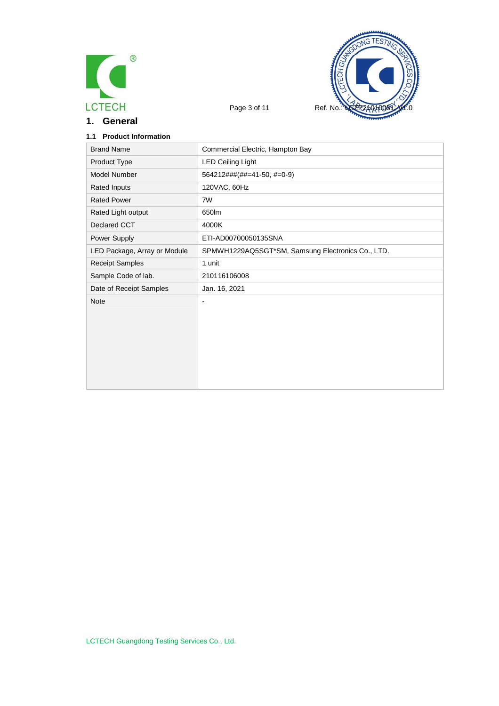



**1. General**

| <b>Product Information</b><br>1.1 |                                                   |
|-----------------------------------|---------------------------------------------------|
| <b>Brand Name</b>                 | Commercial Electric, Hampton Bay                  |
| Product Type                      | <b>LED Ceiling Light</b>                          |
| Model Number                      | 564212###(##=41-50, #=0-9)                        |
| Rated Inputs                      | 120VAC, 60Hz                                      |
| <b>Rated Power</b>                | 7W                                                |
| Rated Light output                | 650lm                                             |
| Declared CCT                      | 4000K                                             |
| Power Supply                      | ETI-AD00700050135SNA                              |
| LED Package, Array or Module      | SPMWH1229AQ5SGT*SM, Samsung Electronics Co., LTD. |
| <b>Receipt Samples</b>            | 1 unit                                            |
| Sample Code of lab.               | 210116106008                                      |
| Date of Receipt Samples           | Jan. 16, 2021                                     |
| <b>Note</b>                       | $\overline{\phantom{a}}$                          |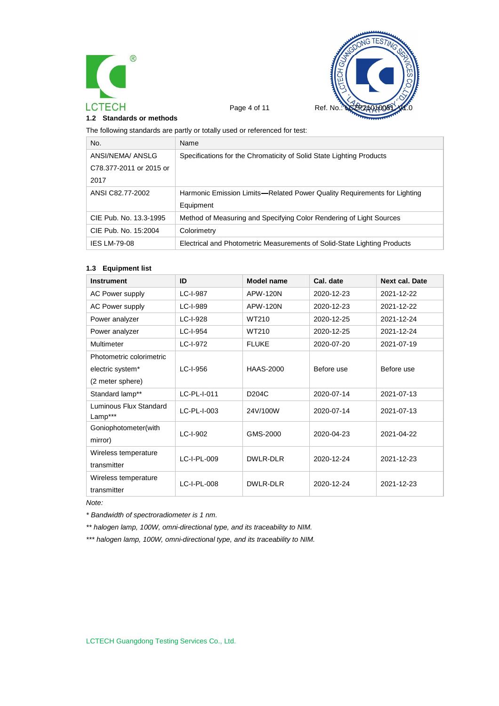



Page 4 of 11 Ref. No.

**1.2 Standards or methods**

The following standards are partly or totally used or referenced for test:

| No.                     | Name                                                                     |
|-------------------------|--------------------------------------------------------------------------|
| ANSI/NEMA/ ANSLG        | Specifications for the Chromaticity of Solid State Lighting Products     |
| C78.377-2011 or 2015 or |                                                                          |
| 2017                    |                                                                          |
| ANSI C82.77-2002        | Harmonic Emission Limits—Related Power Quality Requirements for Lighting |
|                         | Equipment                                                                |
| CIE Pub. No. 13.3-1995  | Method of Measuring and Specifying Color Rendering of Light Sources      |
| CIE Pub. No. 15:2004    | Colorimetry                                                              |
| <b>IES LM-79-08</b>     | Electrical and Photometric Measurements of Solid-State Lighting Products |

#### **1.3 Equipment list**

| <b>Instrument</b>                 | ID          | Model name         | Cal. date  | <b>Next cal. Date</b> |
|-----------------------------------|-------------|--------------------|------------|-----------------------|
| <b>AC Power supply</b>            | LC-I-987    | APW-120N           | 2020-12-23 | 2021-12-22            |
| <b>AC Power supply</b>            | LC-I-989    | <b>APW-120N</b>    | 2020-12-23 | 2021-12-22            |
| Power analyzer                    | LC-I-928    | WT210              | 2020-12-25 | 2021-12-24            |
| Power analyzer                    | LC-I-954    | WT210              | 2020-12-25 | 2021-12-24            |
| Multimeter                        | LC-I-972    | <b>FLUKE</b>       | 2020-07-20 | 2021-07-19            |
| Photometric colorimetric          |             |                    |            |                       |
| electric system*                  | LC-I-956    | <b>HAAS-2000</b>   | Before use | Before use            |
| (2 meter sphere)                  |             |                    |            |                       |
| Standard lamp**                   | LC-PL-I-011 | D <sub>204</sub> C | 2020-07-14 | 2021-07-13            |
| Luminous Flux Standard<br>Lamp*** | LC-PL-I-003 | 24V/100W           | 2020-07-14 | 2021-07-13            |
| Goniophotometer(with              | $LC-I-902$  | GMS-2000           | 2020-04-23 | 2021-04-22            |
| mirror)                           |             |                    |            |                       |
| Wireless temperature              | LC-I-PL-009 | DWLR-DLR           | 2020-12-24 | 2021-12-23            |
| transmitter                       |             |                    |            |                       |
| Wireless temperature              | LC-I-PL-008 | DWLR-DLR           | 2020-12-24 | 2021-12-23            |
| transmitter                       |             |                    |            |                       |

*Note:*

*\* Bandwidth of spectroradiometer is 1 nm.*

*\*\* halogen lamp, 100W, omni-directional type, and its traceability to NIM.*

*\*\*\* halogen lamp, 100W, omni-directional type, and its traceability to NIM.*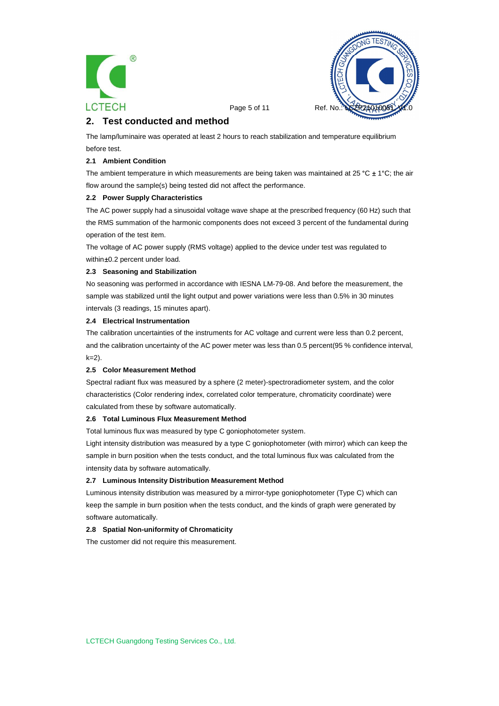



Page 5 of 11 Ref. No.

## **2. Test conducted and method**

The lamp/luminaire was operated at least 2 hours to reach stabilization and temperature equilibrium before test.

#### **2.1 Ambient Condition**

The ambient temperature in which measurements are being taken was maintained at 25 °C  $\pm$  1°C; the air flow around the sample(s) being tested did not affect the performance.

#### **2.2 Power Supply Characteristics**

The AC power supply had a sinusoidal voltage wave shape at the prescribed frequency (60 Hz) such that the RMS summation of the harmonic components does not exceed 3 percent of the fundamental during operation of the test item.

The voltage of AC power supply (RMS voltage) applied to the device under test was regulated to within ±0.2 percent under load.

#### **2.3 Seasoning and Stabilization**

No seasoning was performed in accordance with IESNA LM-79-08. And before the measurement, the sample was stabilized until the light output and power variations were less than 0.5% in 30 minutes intervals (3 readings, 15 minutes apart).

#### **2.4 Electrical Instrumentation**

The calibration uncertainties of the instruments for AC voltage and current were less than 0.2 percent, and the calibration uncertainty of the AC power meter was less than 0.5 percent(95 % confidence interval, k=2).

#### **2.5 Color Measurement Method**

Spectral radiant flux was measured by a sphere (2 meter)-spectroradiometer system, and the color characteristics (Color rendering index, correlated color temperature, chromaticity coordinate) were calculated from these by software automatically.

#### **2.6 Total Luminous Flux Measurement Method**

Total luminous flux was measured by type C goniophotometer system.

Light intensity distribution was measured by a type C goniophotometer (with mirror) which can keep the sample in burn position when the tests conduct, and the total luminous flux was calculated from the intensity data by software automatically.

#### **2.7 Luminous Intensity Distribution Measurement Method**

Luminous intensity distribution was measured by a mirror-type goniophotometer (Type C) which can keep the sample in burn position when the tests conduct, and the kinds of graph were generated by software automatically.

#### **2.8 Spatial Non-uniformity of Chromaticity**

The customer did not require this measurement.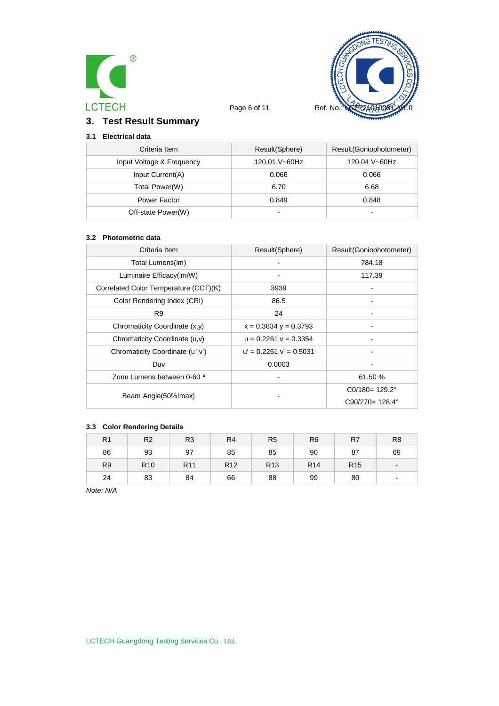



Page 6 of 11 Ref. No.

## **3. Test Result Summary**

### **3.1 Electrical data**

| Criteria Item             | Result(Sphere)           | Result(Goniophotometer) |
|---------------------------|--------------------------|-------------------------|
| Input Voltage & Frequency | 120.01 V~60Hz            | 120.04 V~60Hz           |
| Input Current(A)          | 0.066                    | 0.066                   |
| Total Power(W)            | 6.70                     | 6.68                    |
| Power Factor              | 0.849                    | 0.848                   |
| Off-state Power(W)        | $\overline{\phantom{0}}$ | $\blacksquare$          |

#### **3.2 Photometric data**

| Criteria Item                         | Result(Sphere)              | Result(Goniophotometer)   |
|---------------------------------------|-----------------------------|---------------------------|
| Total Lumens(Im)                      |                             | 784.18                    |
| Luminaire Efficacy(Im/W)              |                             | 117.39                    |
| Correlated Color Temperature (CCT)(K) | 3939                        |                           |
| Color Rendering Index (CRI)           | 86.5                        |                           |
| R <sub>9</sub>                        | 24                          |                           |
| Chromaticity Coordinate (x,y)         | $x = 0.3834$ y = 0.3793     |                           |
| Chromaticity Coordinate (u,v)         | $u = 0.2261$ $v = 0.3354$   |                           |
| Chromaticity Coordinate (u', v')      | $u' = 0.2261$ $v' = 0.5031$ |                           |
| Duv                                   | 0.0003                      |                           |
| Zone Lumens between 0-60 °            |                             | 61.50 %                   |
|                                       |                             | $CO/180 = 129.2^{\circ}$  |
| Beam Angle(50% Imax)                  |                             | $C90/270 = 128.4^{\circ}$ |

#### **3.3 Color Rendering Details**

| R <sub>1</sub> | R <sub>2</sub>  | R <sub>3</sub>  | R <sub>4</sub>  | R <sub>5</sub>  | R <sub>6</sub>  | R7              | R <sub>8</sub> |
|----------------|-----------------|-----------------|-----------------|-----------------|-----------------|-----------------|----------------|
| 86             | 93              | 97              | 85              | 85              | 90              | 87              | 69             |
| R <sub>9</sub> | R <sub>10</sub> | R <sub>11</sub> | R <sub>12</sub> | R <sub>13</sub> | R <sub>14</sub> | R <sub>15</sub> | $\blacksquare$ |
| 24             | 83              | 84              | 66              | 88              | 99              | 80              | ۰              |

*Note: N/A*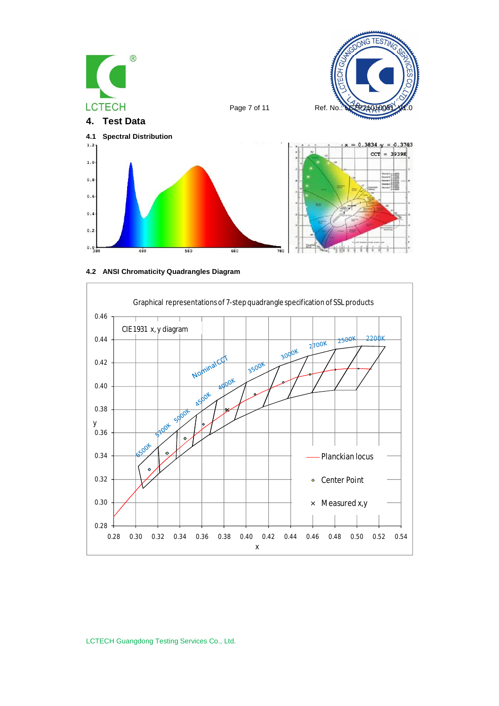





LCTECH Guangdong Testing Services Co., Ltd.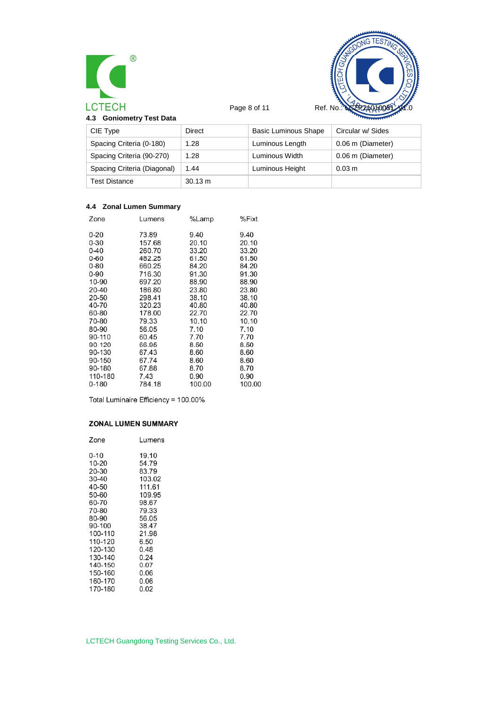



Page 8 of 11 Ref. No.:

**4.3 Goniometry Test Data**

| ÷<br>۰.<br>$\sim$<br>×<br>- | . .<br>۰. | . .<br>-<br>$\sim$ |  |
|-----------------------------|-----------|--------------------|--|
|                             |           |                    |  |
|                             |           |                    |  |

| <b>CELLARY TWO</b> |
|--------------------|
|                    |

| CIE Type                    | Direct            | Basic Luminous Shape | Circular w/ Sides |
|-----------------------------|-------------------|----------------------|-------------------|
| Spacing Criteria (0-180)    | 1.28              | Luminous Length      | 0.06 m (Diameter) |
| Spacing Criteria (90-270)   | 1.28              | Luminous Width       | 0.06 m (Diameter) |
| Spacing Criteria (Diagonal) | 1.44              | Luminous Height      | $0.03 \text{ m}$  |
| <b>Test Distance</b>        | $30.13 \text{ m}$ |                      |                   |

#### **4.4 Zonal Lumen Summary**

| Zone    | Lumens | %Lamp  | %Fixt  |
|---------|--------|--------|--------|
| 0-20    | 73.89  | 9.40   | 9.40   |
| 0-30    | 157.68 | 20.10  | 20.10  |
| 0-40    | 260.70 | 33.20  | 33.20  |
| 0-60    | 482.25 | 61.50  | 61.50  |
| 0-80    | 660.25 | 84.20  | 84.20  |
| 0-90    | 716.30 | 91.30  | 91.30  |
| 10-90   | 697.20 | 88.90  | 88.90  |
| 20-40   | 186.80 | 23.80  | 23.80  |
| 20-50   | 298.41 | 38.10  | 38.10  |
| 40-70   | 320.23 | 40.80  | 40.80  |
| 60-80   | 178.00 | 22.70  | 22.70  |
| 70-80   | 79.33  | 10.10  | 10.10  |
| 80-90   | 56.05  | 7.10   | 7.10   |
| 90-110  | 60.45  | 7.70   | 7.70   |
| 90-120  | 66.95  | 8.50   | 8.50   |
| 90-130  | 67.43  | 8.60   | 8.60   |
| 90-150  | 67.74  | 8.60   | 8.60   |
| 90-180  | 67.88  | 8.70   | 8.70   |
| 110-180 | 7.43   | 0.90   | 0.90   |
| 0-180   | 784.18 | 100.00 | 100.00 |
|         |        |        |        |

Total Luminaire Efficiency = 100.00%

#### **ZONAL LUMEN SUMMARY**

| Zone    | Lumens |  |  |  |
|---------|--------|--|--|--|
| 0-10    | 19.10  |  |  |  |
| 10-20   | 54.79  |  |  |  |
| 20-30   | 83.79  |  |  |  |
| 30-40   | 103.02 |  |  |  |
| 40-50   | 111.61 |  |  |  |
| 50-60   | 109.95 |  |  |  |
| 60-70   | 98.67  |  |  |  |
| 70-80   | 79.33  |  |  |  |
| 80-90   | 56.05  |  |  |  |
| 90-100  | 38.47  |  |  |  |
| 100-110 | 21.98  |  |  |  |
| 110-120 | 6.50   |  |  |  |
| 120-130 | 0.48   |  |  |  |
| 130-140 | 0.24   |  |  |  |
| 140-150 | 0.07   |  |  |  |
| 150-160 | 0.06   |  |  |  |
| 160-170 | 0.06   |  |  |  |
| 170-180 | 0.02   |  |  |  |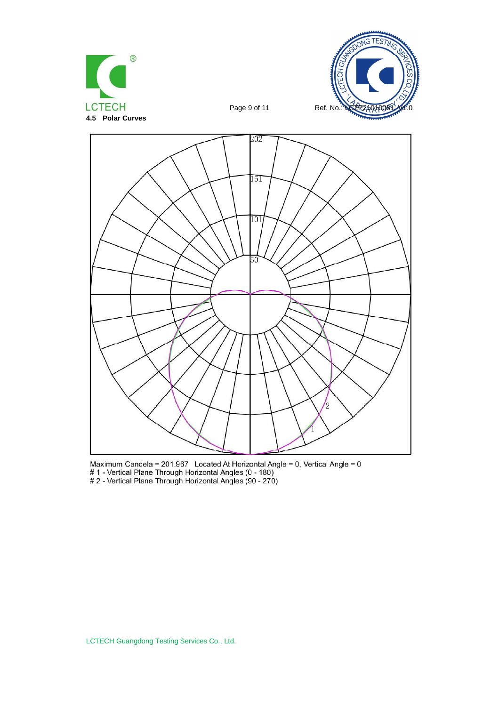



Page 9 of 11 Ref. No.



Maximum Candela = 201.967 Located At Horizontal Angle = 0, Vertical Angle = 0<br># 1 - Vertical Plane Through Horizontal Angles (0 - 180)<br># 2 - Vertical Plane Through Horizontal Angles (90 - 270)

LCTECH Guangdong Testing Services Co., Ltd.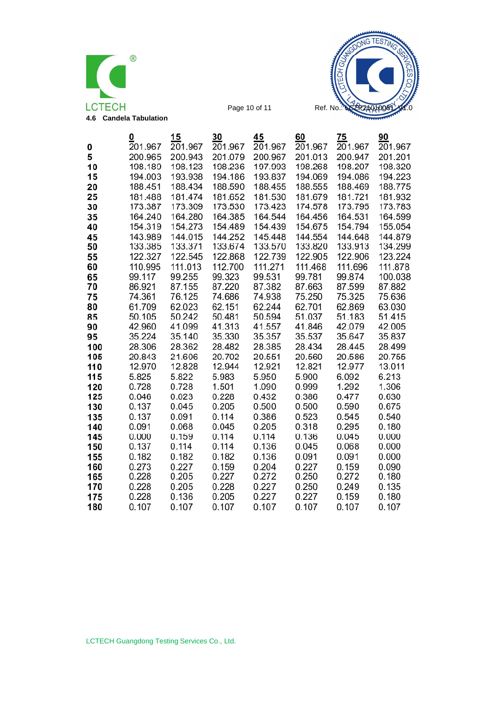



Page 10 of 11 Ref. No.:

| 201.201<br>5<br>200.943<br>200.947<br>200.965<br>201.079<br>200.967<br>201.013<br>198.123<br>198.236<br>197.993<br>198.207<br>10<br>198.189<br>198.268<br>15<br>194.003<br>193.938<br>194.186<br>193.837<br>194.069<br>194.086<br>20<br>188.434<br>188.590<br>188.455<br>188.555<br>188.469<br>188.451<br>25<br>181.474<br>181.530<br>181.679<br>181.488<br>181.652<br>181.721<br>173.309<br>173.530<br>173.423<br>173.795<br>30<br>173.387<br>174.578<br>164.280<br>164.385<br>164.544<br>164.456<br>164.531<br>35<br>164.240<br>155.054<br>154.319<br>154.273<br>154.489<br>154.439<br>154.675<br>154.794<br>40<br>144.879<br>45<br>143.989<br>144.015<br>144.252<br>145.448<br>144.554<br>144.648<br>50<br>133.371<br>133.674<br>133.570<br>133.820<br>134.299<br>133.385<br>133.913<br>122.545<br>122.868<br>122.905<br>122.906<br>123.224<br>55<br>122.327<br>122.739<br>60<br>110.995<br>111.013<br>112.700<br>111.271<br>111.468<br>111.696<br>111.878<br>99.117<br>99.255<br>99.323<br>99.531<br>99.781<br>99.874<br>100.038<br>65<br>70<br>87.155<br>87.220<br>87.382<br>87.663<br>87.882<br>86.921<br>87.599<br>75.250<br>75<br>74.361<br>76.125<br>74.686<br>74.938<br>75.325<br>75.636<br>80<br>61.709<br>62.023<br>62.151<br>62.244<br>62.701<br>62.869<br>63.030<br>50.242<br>50.481<br>50.594<br>51.037<br>51.183<br>51.415<br>85<br>50.105<br>41.099<br>41.313<br>41.557<br>90<br>42.960<br>41.846<br>42.079<br>42.005<br>95<br>35.224<br>35.140<br>35.330<br>35.357<br>35.537<br>35.647<br>35.837<br>100<br>28.306<br>28.362<br>28.482<br>28.385<br>28.434<br>28.445<br>28.499<br>105<br>21.606<br>20.702<br>20.843<br>20.551<br>20.560<br>20.586<br>20.755<br>110<br>12.970<br>12.828<br>12.944<br>12.921<br>12.821<br>12.977<br>13.011<br>115<br>5.825<br>5.822<br>5.983<br>5.950<br>5.900<br>6.092<br>6.213<br>0.728<br>0.728<br>1.501<br>1.292<br>1.306<br>120<br>1.090<br>0.999<br>125<br>0.023<br>0.228<br>0.432<br>0.386<br>0.477<br>0.630<br>0.046<br>130<br>0.137<br>0.045<br>0.205<br>0.500<br>0.500<br>0.590<br>0.675<br>0.137<br>0.091<br>0.114<br>135<br>0.386<br>0.523<br>0.545<br>0.540<br>0.068<br>0.318<br>0.295<br>140<br>0.091<br>0.045<br>0.205<br>0.180<br>0.159<br>0.114<br>0.114<br>0.136<br>0.045<br>0.000<br>145<br>0.000<br>150<br>0.137<br>0.114<br>0.114<br>0.136<br>0.068<br>0.000<br>0.045<br>155<br>0.182<br>0.182<br>0.182<br>0.136<br>0.091<br>0.091<br>0.000<br>160<br>0.273<br>0.227<br>0.159<br>0.204<br>0.227<br>0.159<br>0.090<br>0.228<br>0.205<br>0.227<br>0.272<br>0.250<br>0.272<br>165<br>0.180<br>170<br>0.228<br>0.205<br>0.228<br>0.227<br>0.250<br>0.249<br>0.135<br>0.228<br>0.136<br>0.205<br>0.227<br>0.227<br>0.159<br>0.180<br>175<br>180<br>0.107<br>0.107<br>0.107<br>0.107<br>0.107<br>0.107<br>0.107 | 0 | 0<br>201.967 | 15<br>201.967 | 30<br>201.967 | 45<br>201.967 | 60<br>201.967 | 75<br>201.967 | 90<br>201.967 |
|-------------------------------------------------------------------------------------------------------------------------------------------------------------------------------------------------------------------------------------------------------------------------------------------------------------------------------------------------------------------------------------------------------------------------------------------------------------------------------------------------------------------------------------------------------------------------------------------------------------------------------------------------------------------------------------------------------------------------------------------------------------------------------------------------------------------------------------------------------------------------------------------------------------------------------------------------------------------------------------------------------------------------------------------------------------------------------------------------------------------------------------------------------------------------------------------------------------------------------------------------------------------------------------------------------------------------------------------------------------------------------------------------------------------------------------------------------------------------------------------------------------------------------------------------------------------------------------------------------------------------------------------------------------------------------------------------------------------------------------------------------------------------------------------------------------------------------------------------------------------------------------------------------------------------------------------------------------------------------------------------------------------------------------------------------------------------------------------------------------------------------------------------------------------------------------------------------------------------------------------------------------------------------------------------------------------------------------------------------------------------------------------------------------------------------------------------------------------------------------------------------------------------------------------------------------------------------------------------------------------------------------------------------------------------------------------------------------------------------------------------------------------------------|---|--------------|---------------|---------------|---------------|---------------|---------------|---------------|
|                                                                                                                                                                                                                                                                                                                                                                                                                                                                                                                                                                                                                                                                                                                                                                                                                                                                                                                                                                                                                                                                                                                                                                                                                                                                                                                                                                                                                                                                                                                                                                                                                                                                                                                                                                                                                                                                                                                                                                                                                                                                                                                                                                                                                                                                                                                                                                                                                                                                                                                                                                                                                                                                                                                                                                               |   |              |               |               |               |               |               |               |
|                                                                                                                                                                                                                                                                                                                                                                                                                                                                                                                                                                                                                                                                                                                                                                                                                                                                                                                                                                                                                                                                                                                                                                                                                                                                                                                                                                                                                                                                                                                                                                                                                                                                                                                                                                                                                                                                                                                                                                                                                                                                                                                                                                                                                                                                                                                                                                                                                                                                                                                                                                                                                                                                                                                                                                               |   |              |               |               |               |               |               | 198.320       |
|                                                                                                                                                                                                                                                                                                                                                                                                                                                                                                                                                                                                                                                                                                                                                                                                                                                                                                                                                                                                                                                                                                                                                                                                                                                                                                                                                                                                                                                                                                                                                                                                                                                                                                                                                                                                                                                                                                                                                                                                                                                                                                                                                                                                                                                                                                                                                                                                                                                                                                                                                                                                                                                                                                                                                                               |   |              |               |               |               |               |               | 194.223       |
|                                                                                                                                                                                                                                                                                                                                                                                                                                                                                                                                                                                                                                                                                                                                                                                                                                                                                                                                                                                                                                                                                                                                                                                                                                                                                                                                                                                                                                                                                                                                                                                                                                                                                                                                                                                                                                                                                                                                                                                                                                                                                                                                                                                                                                                                                                                                                                                                                                                                                                                                                                                                                                                                                                                                                                               |   |              |               |               |               |               |               | 188.775       |
|                                                                                                                                                                                                                                                                                                                                                                                                                                                                                                                                                                                                                                                                                                                                                                                                                                                                                                                                                                                                                                                                                                                                                                                                                                                                                                                                                                                                                                                                                                                                                                                                                                                                                                                                                                                                                                                                                                                                                                                                                                                                                                                                                                                                                                                                                                                                                                                                                                                                                                                                                                                                                                                                                                                                                                               |   |              |               |               |               |               |               | 181.932       |
|                                                                                                                                                                                                                                                                                                                                                                                                                                                                                                                                                                                                                                                                                                                                                                                                                                                                                                                                                                                                                                                                                                                                                                                                                                                                                                                                                                                                                                                                                                                                                                                                                                                                                                                                                                                                                                                                                                                                                                                                                                                                                                                                                                                                                                                                                                                                                                                                                                                                                                                                                                                                                                                                                                                                                                               |   |              |               |               |               |               |               | 173.783       |
|                                                                                                                                                                                                                                                                                                                                                                                                                                                                                                                                                                                                                                                                                                                                                                                                                                                                                                                                                                                                                                                                                                                                                                                                                                                                                                                                                                                                                                                                                                                                                                                                                                                                                                                                                                                                                                                                                                                                                                                                                                                                                                                                                                                                                                                                                                                                                                                                                                                                                                                                                                                                                                                                                                                                                                               |   |              |               |               |               |               |               | 164.599       |
|                                                                                                                                                                                                                                                                                                                                                                                                                                                                                                                                                                                                                                                                                                                                                                                                                                                                                                                                                                                                                                                                                                                                                                                                                                                                                                                                                                                                                                                                                                                                                                                                                                                                                                                                                                                                                                                                                                                                                                                                                                                                                                                                                                                                                                                                                                                                                                                                                                                                                                                                                                                                                                                                                                                                                                               |   |              |               |               |               |               |               |               |
|                                                                                                                                                                                                                                                                                                                                                                                                                                                                                                                                                                                                                                                                                                                                                                                                                                                                                                                                                                                                                                                                                                                                                                                                                                                                                                                                                                                                                                                                                                                                                                                                                                                                                                                                                                                                                                                                                                                                                                                                                                                                                                                                                                                                                                                                                                                                                                                                                                                                                                                                                                                                                                                                                                                                                                               |   |              |               |               |               |               |               |               |
|                                                                                                                                                                                                                                                                                                                                                                                                                                                                                                                                                                                                                                                                                                                                                                                                                                                                                                                                                                                                                                                                                                                                                                                                                                                                                                                                                                                                                                                                                                                                                                                                                                                                                                                                                                                                                                                                                                                                                                                                                                                                                                                                                                                                                                                                                                                                                                                                                                                                                                                                                                                                                                                                                                                                                                               |   |              |               |               |               |               |               |               |
|                                                                                                                                                                                                                                                                                                                                                                                                                                                                                                                                                                                                                                                                                                                                                                                                                                                                                                                                                                                                                                                                                                                                                                                                                                                                                                                                                                                                                                                                                                                                                                                                                                                                                                                                                                                                                                                                                                                                                                                                                                                                                                                                                                                                                                                                                                                                                                                                                                                                                                                                                                                                                                                                                                                                                                               |   |              |               |               |               |               |               |               |
|                                                                                                                                                                                                                                                                                                                                                                                                                                                                                                                                                                                                                                                                                                                                                                                                                                                                                                                                                                                                                                                                                                                                                                                                                                                                                                                                                                                                                                                                                                                                                                                                                                                                                                                                                                                                                                                                                                                                                                                                                                                                                                                                                                                                                                                                                                                                                                                                                                                                                                                                                                                                                                                                                                                                                                               |   |              |               |               |               |               |               |               |
|                                                                                                                                                                                                                                                                                                                                                                                                                                                                                                                                                                                                                                                                                                                                                                                                                                                                                                                                                                                                                                                                                                                                                                                                                                                                                                                                                                                                                                                                                                                                                                                                                                                                                                                                                                                                                                                                                                                                                                                                                                                                                                                                                                                                                                                                                                                                                                                                                                                                                                                                                                                                                                                                                                                                                                               |   |              |               |               |               |               |               |               |
|                                                                                                                                                                                                                                                                                                                                                                                                                                                                                                                                                                                                                                                                                                                                                                                                                                                                                                                                                                                                                                                                                                                                                                                                                                                                                                                                                                                                                                                                                                                                                                                                                                                                                                                                                                                                                                                                                                                                                                                                                                                                                                                                                                                                                                                                                                                                                                                                                                                                                                                                                                                                                                                                                                                                                                               |   |              |               |               |               |               |               |               |
|                                                                                                                                                                                                                                                                                                                                                                                                                                                                                                                                                                                                                                                                                                                                                                                                                                                                                                                                                                                                                                                                                                                                                                                                                                                                                                                                                                                                                                                                                                                                                                                                                                                                                                                                                                                                                                                                                                                                                                                                                                                                                                                                                                                                                                                                                                                                                                                                                                                                                                                                                                                                                                                                                                                                                                               |   |              |               |               |               |               |               |               |
|                                                                                                                                                                                                                                                                                                                                                                                                                                                                                                                                                                                                                                                                                                                                                                                                                                                                                                                                                                                                                                                                                                                                                                                                                                                                                                                                                                                                                                                                                                                                                                                                                                                                                                                                                                                                                                                                                                                                                                                                                                                                                                                                                                                                                                                                                                                                                                                                                                                                                                                                                                                                                                                                                                                                                                               |   |              |               |               |               |               |               |               |
|                                                                                                                                                                                                                                                                                                                                                                                                                                                                                                                                                                                                                                                                                                                                                                                                                                                                                                                                                                                                                                                                                                                                                                                                                                                                                                                                                                                                                                                                                                                                                                                                                                                                                                                                                                                                                                                                                                                                                                                                                                                                                                                                                                                                                                                                                                                                                                                                                                                                                                                                                                                                                                                                                                                                                                               |   |              |               |               |               |               |               |               |
|                                                                                                                                                                                                                                                                                                                                                                                                                                                                                                                                                                                                                                                                                                                                                                                                                                                                                                                                                                                                                                                                                                                                                                                                                                                                                                                                                                                                                                                                                                                                                                                                                                                                                                                                                                                                                                                                                                                                                                                                                                                                                                                                                                                                                                                                                                                                                                                                                                                                                                                                                                                                                                                                                                                                                                               |   |              |               |               |               |               |               |               |
|                                                                                                                                                                                                                                                                                                                                                                                                                                                                                                                                                                                                                                                                                                                                                                                                                                                                                                                                                                                                                                                                                                                                                                                                                                                                                                                                                                                                                                                                                                                                                                                                                                                                                                                                                                                                                                                                                                                                                                                                                                                                                                                                                                                                                                                                                                                                                                                                                                                                                                                                                                                                                                                                                                                                                                               |   |              |               |               |               |               |               |               |
|                                                                                                                                                                                                                                                                                                                                                                                                                                                                                                                                                                                                                                                                                                                                                                                                                                                                                                                                                                                                                                                                                                                                                                                                                                                                                                                                                                                                                                                                                                                                                                                                                                                                                                                                                                                                                                                                                                                                                                                                                                                                                                                                                                                                                                                                                                                                                                                                                                                                                                                                                                                                                                                                                                                                                                               |   |              |               |               |               |               |               |               |
|                                                                                                                                                                                                                                                                                                                                                                                                                                                                                                                                                                                                                                                                                                                                                                                                                                                                                                                                                                                                                                                                                                                                                                                                                                                                                                                                                                                                                                                                                                                                                                                                                                                                                                                                                                                                                                                                                                                                                                                                                                                                                                                                                                                                                                                                                                                                                                                                                                                                                                                                                                                                                                                                                                                                                                               |   |              |               |               |               |               |               |               |
|                                                                                                                                                                                                                                                                                                                                                                                                                                                                                                                                                                                                                                                                                                                                                                                                                                                                                                                                                                                                                                                                                                                                                                                                                                                                                                                                                                                                                                                                                                                                                                                                                                                                                                                                                                                                                                                                                                                                                                                                                                                                                                                                                                                                                                                                                                                                                                                                                                                                                                                                                                                                                                                                                                                                                                               |   |              |               |               |               |               |               |               |
|                                                                                                                                                                                                                                                                                                                                                                                                                                                                                                                                                                                                                                                                                                                                                                                                                                                                                                                                                                                                                                                                                                                                                                                                                                                                                                                                                                                                                                                                                                                                                                                                                                                                                                                                                                                                                                                                                                                                                                                                                                                                                                                                                                                                                                                                                                                                                                                                                                                                                                                                                                                                                                                                                                                                                                               |   |              |               |               |               |               |               |               |
|                                                                                                                                                                                                                                                                                                                                                                                                                                                                                                                                                                                                                                                                                                                                                                                                                                                                                                                                                                                                                                                                                                                                                                                                                                                                                                                                                                                                                                                                                                                                                                                                                                                                                                                                                                                                                                                                                                                                                                                                                                                                                                                                                                                                                                                                                                                                                                                                                                                                                                                                                                                                                                                                                                                                                                               |   |              |               |               |               |               |               |               |
|                                                                                                                                                                                                                                                                                                                                                                                                                                                                                                                                                                                                                                                                                                                                                                                                                                                                                                                                                                                                                                                                                                                                                                                                                                                                                                                                                                                                                                                                                                                                                                                                                                                                                                                                                                                                                                                                                                                                                                                                                                                                                                                                                                                                                                                                                                                                                                                                                                                                                                                                                                                                                                                                                                                                                                               |   |              |               |               |               |               |               |               |
|                                                                                                                                                                                                                                                                                                                                                                                                                                                                                                                                                                                                                                                                                                                                                                                                                                                                                                                                                                                                                                                                                                                                                                                                                                                                                                                                                                                                                                                                                                                                                                                                                                                                                                                                                                                                                                                                                                                                                                                                                                                                                                                                                                                                                                                                                                                                                                                                                                                                                                                                                                                                                                                                                                                                                                               |   |              |               |               |               |               |               |               |
|                                                                                                                                                                                                                                                                                                                                                                                                                                                                                                                                                                                                                                                                                                                                                                                                                                                                                                                                                                                                                                                                                                                                                                                                                                                                                                                                                                                                                                                                                                                                                                                                                                                                                                                                                                                                                                                                                                                                                                                                                                                                                                                                                                                                                                                                                                                                                                                                                                                                                                                                                                                                                                                                                                                                                                               |   |              |               |               |               |               |               |               |
|                                                                                                                                                                                                                                                                                                                                                                                                                                                                                                                                                                                                                                                                                                                                                                                                                                                                                                                                                                                                                                                                                                                                                                                                                                                                                                                                                                                                                                                                                                                                                                                                                                                                                                                                                                                                                                                                                                                                                                                                                                                                                                                                                                                                                                                                                                                                                                                                                                                                                                                                                                                                                                                                                                                                                                               |   |              |               |               |               |               |               |               |
|                                                                                                                                                                                                                                                                                                                                                                                                                                                                                                                                                                                                                                                                                                                                                                                                                                                                                                                                                                                                                                                                                                                                                                                                                                                                                                                                                                                                                                                                                                                                                                                                                                                                                                                                                                                                                                                                                                                                                                                                                                                                                                                                                                                                                                                                                                                                                                                                                                                                                                                                                                                                                                                                                                                                                                               |   |              |               |               |               |               |               |               |
|                                                                                                                                                                                                                                                                                                                                                                                                                                                                                                                                                                                                                                                                                                                                                                                                                                                                                                                                                                                                                                                                                                                                                                                                                                                                                                                                                                                                                                                                                                                                                                                                                                                                                                                                                                                                                                                                                                                                                                                                                                                                                                                                                                                                                                                                                                                                                                                                                                                                                                                                                                                                                                                                                                                                                                               |   |              |               |               |               |               |               |               |
|                                                                                                                                                                                                                                                                                                                                                                                                                                                                                                                                                                                                                                                                                                                                                                                                                                                                                                                                                                                                                                                                                                                                                                                                                                                                                                                                                                                                                                                                                                                                                                                                                                                                                                                                                                                                                                                                                                                                                                                                                                                                                                                                                                                                                                                                                                                                                                                                                                                                                                                                                                                                                                                                                                                                                                               |   |              |               |               |               |               |               |               |
|                                                                                                                                                                                                                                                                                                                                                                                                                                                                                                                                                                                                                                                                                                                                                                                                                                                                                                                                                                                                                                                                                                                                                                                                                                                                                                                                                                                                                                                                                                                                                                                                                                                                                                                                                                                                                                                                                                                                                                                                                                                                                                                                                                                                                                                                                                                                                                                                                                                                                                                                                                                                                                                                                                                                                                               |   |              |               |               |               |               |               |               |
|                                                                                                                                                                                                                                                                                                                                                                                                                                                                                                                                                                                                                                                                                                                                                                                                                                                                                                                                                                                                                                                                                                                                                                                                                                                                                                                                                                                                                                                                                                                                                                                                                                                                                                                                                                                                                                                                                                                                                                                                                                                                                                                                                                                                                                                                                                                                                                                                                                                                                                                                                                                                                                                                                                                                                                               |   |              |               |               |               |               |               |               |
|                                                                                                                                                                                                                                                                                                                                                                                                                                                                                                                                                                                                                                                                                                                                                                                                                                                                                                                                                                                                                                                                                                                                                                                                                                                                                                                                                                                                                                                                                                                                                                                                                                                                                                                                                                                                                                                                                                                                                                                                                                                                                                                                                                                                                                                                                                                                                                                                                                                                                                                                                                                                                                                                                                                                                                               |   |              |               |               |               |               |               |               |
|                                                                                                                                                                                                                                                                                                                                                                                                                                                                                                                                                                                                                                                                                                                                                                                                                                                                                                                                                                                                                                                                                                                                                                                                                                                                                                                                                                                                                                                                                                                                                                                                                                                                                                                                                                                                                                                                                                                                                                                                                                                                                                                                                                                                                                                                                                                                                                                                                                                                                                                                                                                                                                                                                                                                                                               |   |              |               |               |               |               |               |               |